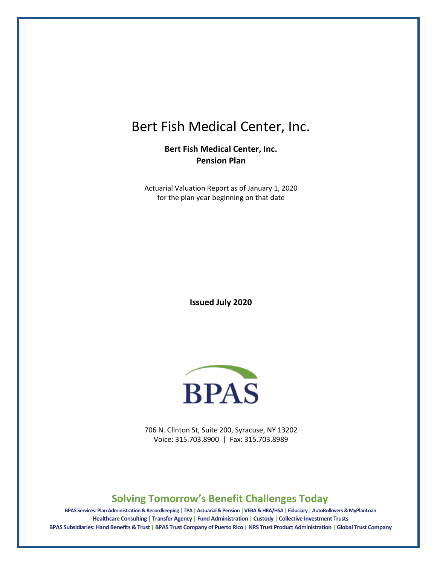# Bert Fish Medical Center, Inc.

**Bert Fish Medical Center, Inc. Pension Plan** 

Actuarial Valuation Report as of January 1, 2020 for the plan year beginning on that date

**Issued July 2020**



706 N. Clinton St, Suite 200, Syracuse, NY 13202 Voice: 315.703.8900 | Fax: 315.703.8989

## **Solving Tomorrow's Benefit Challenges Today**

**BPAS Services: Plan Administration & Recordkeeping | TPA |Actuarial & Pension |VEBA & HRA/HSA | Fiduciary | AutoRollovers & MyPlanLoan Healthcare Consulting | Transfer Agency | Fund Administration | Custody | Collective Investment Trusts BPAS Subsidiaries: Hand Benefits & Trust | BPAS Trust Company of Puerto Rico | NRS Trust Product Administration | Global Trust Company**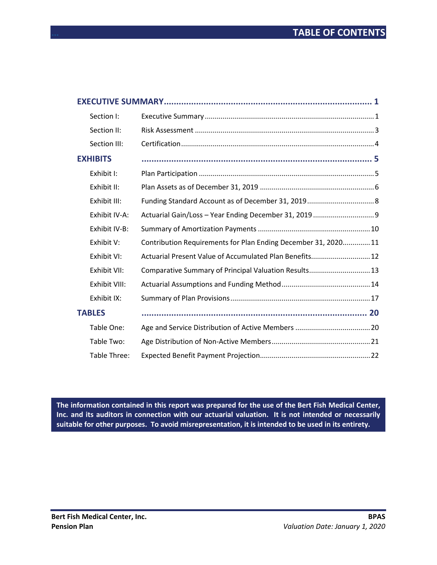| Section I:      |                                                               |  |
|-----------------|---------------------------------------------------------------|--|
| Section II:     |                                                               |  |
| Section III:    |                                                               |  |
| <b>EXHIBITS</b> |                                                               |  |
| Exhibit I:      |                                                               |  |
| Exhibit II:     |                                                               |  |
| Exhibit III:    |                                                               |  |
| Exhibit IV-A:   |                                                               |  |
| Exhibit IV-B:   |                                                               |  |
| Exhibit V:      | Contribution Requirements for Plan Ending December 31, 202011 |  |
| Exhibit VI:     | Actuarial Present Value of Accumulated Plan Benefits 12       |  |
| Exhibit VII:    | Comparative Summary of Principal Valuation Results 13         |  |
| Exhibit VIII:   |                                                               |  |
| Exhibit IX:     |                                                               |  |
| <b>TABLES</b>   |                                                               |  |
| Table One:      |                                                               |  |
| Table Two:      |                                                               |  |
| Table Three:    |                                                               |  |

**The information contained in this report was prepared for the use of the Bert Fish Medical Center, Inc. and its auditors in connection with our actuarial valuation. It is not intended or necessarily suitable for other purposes. To avoid misrepresentation, it is intended to be used in its entirety.**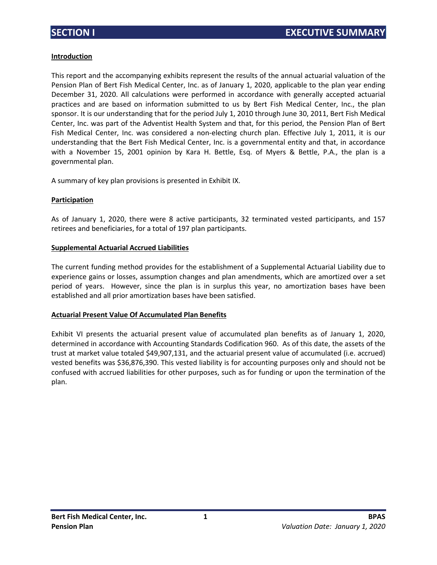#### **Introduction**

This report and the accompanying exhibits represent the results of the annual actuarial valuation of the Pension Plan of Bert Fish Medical Center, Inc. as of January 1, 2020, applicable to the plan year ending December 31, 2020. All calculations were performed in accordance with generally accepted actuarial practices and are based on information submitted to us by Bert Fish Medical Center, Inc., the plan sponsor. It is our understanding that for the period July 1, 2010 through June 30, 2011, Bert Fish Medical Center, Inc. was part of the Adventist Health System and that, for this period, the Pension Plan of Bert Fish Medical Center, Inc. was considered a non-electing church plan. Effective July 1, 2011, it is our understanding that the Bert Fish Medical Center, Inc. is a governmental entity and that, in accordance with a November 15, 2001 opinion by Kara H. Bettle, Esq. of Myers & Bettle, P.A., the plan is a governmental plan.

A summary of key plan provisions is presented in Exhibit IX.

#### **Participation**

As of January 1, 2020, there were 8 active participants, 32 terminated vested participants, and 157 retirees and beneficiaries, for a total of 197 plan participants.

#### **Supplemental Actuarial Accrued Liabilities**

The current funding method provides for the establishment of a Supplemental Actuarial Liability due to experience gains or losses, assumption changes and plan amendments, which are amortized over a set period of years. However, since the plan is in surplus this year, no amortization bases have been established and all prior amortization bases have been satisfied.

#### **Actuarial Present Value Of Accumulated Plan Benefits**

Exhibit VI presents the actuarial present value of accumulated plan benefits as of January 1, 2020, determined in accordance with Accounting Standards Codification 960. As of this date, the assets of the trust at market value totaled \$49,907,131, and the actuarial present value of accumulated (i.e. accrued) vested benefits was \$36,876,390. This vested liability is for accounting purposes only and should not be confused with accrued liabilities for other purposes, such as for funding or upon the termination of the plan.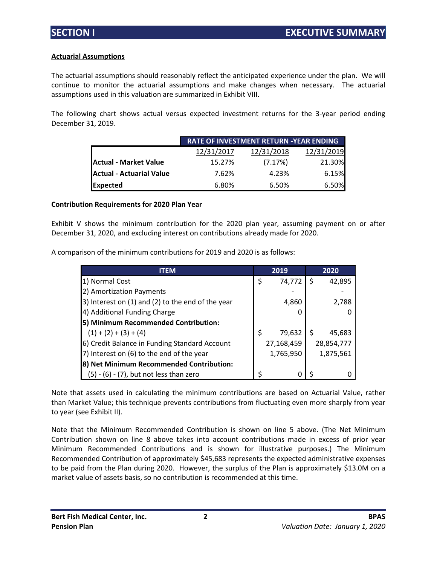#### **Actuarial Assumptions**

The actuarial assumptions should reasonably reflect the anticipated experience under the plan. We will continue to monitor the actuarial assumptions and make changes when necessary. The actuarial assumptions used in this valuation are summarized in Exhibit VIII.

The following chart shows actual versus expected investment returns for the 3-year period ending December 31, 2019.

|                              |            | <b>RATE OF INVESTMENT RETURN -YEAR ENDING</b> |            |
|------------------------------|------------|-----------------------------------------------|------------|
|                              | 12/31/2017 | 12/31/2018                                    | 12/31/2019 |
| <b>Actual - Market Value</b> | 15.27%     | (7.17%)                                       | 21.30%     |
| Actual - Actuarial Value     | 7.62%      | 4.23%                                         | 6.15%      |
| Expected                     | 6.80%      | 6.50%                                         | 6.50%      |

#### **Contribution Requirements for 2020 Plan Year**

Exhibit V shows the minimum contribution for the 2020 plan year, assuming payment on or after December 31, 2020, and excluding interest on contributions already made for 2020.

A comparison of the minimum contributions for 2019 and 2020 is as follows:

| <b>ITEM</b>                                       | 2019         | 2020       |
|---------------------------------------------------|--------------|------------|
| 1) Normal Cost                                    | \$<br>74,772 | 42,895     |
| 2) Amortization Payments                          |              |            |
| 3) Interest on (1) and (2) to the end of the year | 4,860        | 2,788      |
| 4) Additional Funding Charge                      |              |            |
| 5) Minimum Recommended Contribution:              |              |            |
| $(1) + (2) + (3) + (4)$                           | 79,632       | 45,683     |
| 6) Credit Balance in Funding Standard Account     | 27,168,459   | 28,854,777 |
| 7) Interest on (6) to the end of the year         | 1,765,950    | 1,875,561  |
| 8) Net Minimum Recommended Contribution:          |              |            |
| $(5) - (6) - (7)$ , but not less than zero        |              |            |

Note that assets used in calculating the minimum contributions are based on Actuarial Value, rather than Market Value; this technique prevents contributions from fluctuating even more sharply from year to year (see Exhibit II).

Note that the Minimum Recommended Contribution is shown on line 5 above. (The Net Minimum Contribution shown on line 8 above takes into account contributions made in excess of prior year Minimum Recommended Contributions and is shown for illustrative purposes.) The Minimum Recommended Contribution of approximately \$45,683 represents the expected administrative expenses to be paid from the Plan during 2020. However, the surplus of the Plan is approximately \$13.0M on a market value of assets basis, so no contribution is recommended at this time.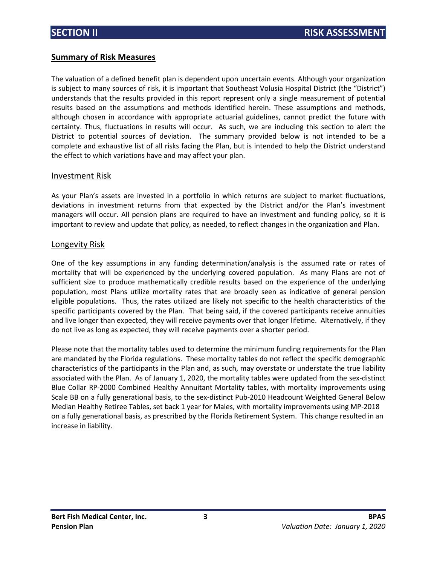### **Summary of Risk Measures**

The valuation of a defined benefit plan is dependent upon uncertain events. Although your organization is subject to many sources of risk, it is important that Southeast Volusia Hospital District (the "District") understands that the results provided in this report represent only a single measurement of potential results based on the assumptions and methods identified herein. These assumptions and methods, although chosen in accordance with appropriate actuarial guidelines, cannot predict the future with certainty. Thus, fluctuations in results will occur. As such, we are including this section to alert the District to potential sources of deviation. The summary provided below is not intended to be a complete and exhaustive list of all risks facing the Plan, but is intended to help the District understand the effect to which variations have and may affect your plan.

#### Investment Risk

As your Plan's assets are invested in a portfolio in which returns are subject to market fluctuations, deviations in investment returns from that expected by the District and/or the Plan's investment managers will occur. All pension plans are required to have an investment and funding policy, so it is important to review and update that policy, as needed, to reflect changes in the organization and Plan.

#### Longevity Risk

One of the key assumptions in any funding determination/analysis is the assumed rate or rates of mortality that will be experienced by the underlying covered population. As many Plans are not of sufficient size to produce mathematically credible results based on the experience of the underlying population, most Plans utilize mortality rates that are broadly seen as indicative of general pension eligible populations. Thus, the rates utilized are likely not specific to the health characteristics of the specific participants covered by the Plan. That being said, if the covered participants receive annuities and live longer than expected, they will receive payments over that longer lifetime. Alternatively, if they do not live as long as expected, they will receive payments over a shorter period.

Please note that the mortality tables used to determine the minimum funding requirements for the Plan are mandated by the Florida regulations. These mortality tables do not reflect the specific demographic characteristics of the participants in the Plan and, as such, may overstate or understate the true liability associated with the Plan. As of January 1, 2020, the mortality tables were updated from the sex-distinct Blue Collar RP-2000 Combined Healthy Annuitant Mortality tables, with mortality improvements using Scale BB on a fully generational basis, to the sex-distinct Pub-2010 Headcount Weighted General Below Median Healthy Retiree Tables, set back 1 year for Males, with mortality improvements using MP-2018 on a fully generational basis, as prescribed by the Florida Retirement System. This change resulted in an increase in liability.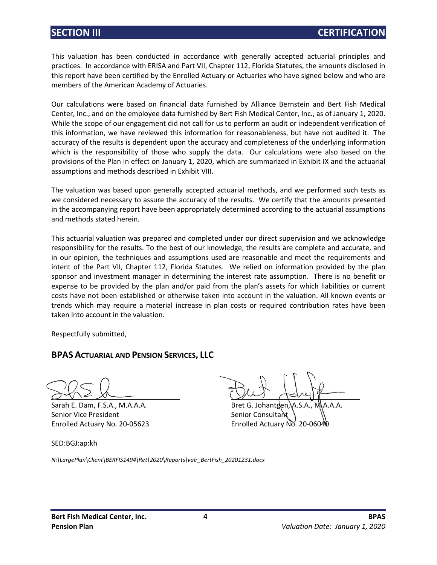This valuation has been conducted in accordance with generally accepted actuarial principles and practices. In accordance with ERISA and Part VII, Chapter 112, Florida Statutes, the amounts disclosed in this report have been certified by the Enrolled Actuary or Actuaries who have signed below and who are members of the American Academy of Actuaries.

Our calculations were based on financial data furnished by Alliance Bernstein and Bert Fish Medical Center, Inc., and on the employee data furnished by Bert Fish Medical Center, Inc., as of January 1, 2020. While the scope of our engagement did not call for us to perform an audit or independent verification of this information, we have reviewed this information for reasonableness, but have not audited it. The accuracy of the results is dependent upon the accuracy and completeness of the underlying information which is the responsibility of those who supply the data. Our calculations were also based on the provisions of the Plan in effect on January 1, 2020, which are summarized in Exhibit IX and the actuarial assumptions and methods described in Exhibit VIII.

The valuation was based upon generally accepted actuarial methods, and we performed such tests as we considered necessary to assure the accuracy of the results. We certify that the amounts presented in the accompanying report have been appropriately determined according to the actuarial assumptions and methods stated herein.

This actuarial valuation was prepared and completed under our direct supervision and we acknowledge responsibility for the results. To the best of our knowledge, the results are complete and accurate, and in our opinion, the techniques and assumptions used are reasonable and meet the requirements and intent of the Part VII, Chapter 112, Florida Statutes. We relied on information provided by the plan sponsor and investment manager in determining the interest rate assumption. There is no benefit or expense to be provided by the plan and/or paid from the plan's assets for which liabilities or current costs have not been established or otherwise taken into account in the valuation. All known events or trends which may require a material increase in plan costs or required contribution rates have been taken into account in the valuation.

Respectfully submitted,

## **BPAS ACTUARIAL AND PENSION SERVICES, LLC**

Senior Vice President Senior Consultant

SED:BGJ:ap:kh

Sarah E. Dam, F.S.A., M.A.A.A. Bret G. Johantgen, A.S.A., M.A.A.A. Enrolled Actuary No. 20-05623 Enrolled Actuary No. 20-06040

*N:\LargePlan\Client\BERFIS1494\Ret\2020\Reports\valr\_BertFish\_20201231.docx*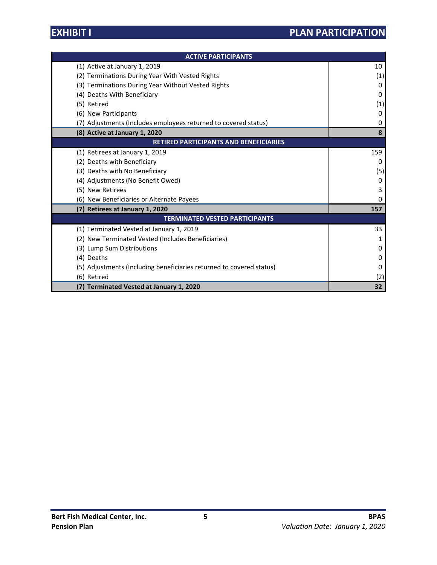| <b>ACTIVE PARTICIPANTS</b>                                           |     |  |  |  |
|----------------------------------------------------------------------|-----|--|--|--|
| (1) Active at January 1, 2019                                        | 10  |  |  |  |
| (2) Terminations During Year With Vested Rights                      | (1) |  |  |  |
| (3) Terminations During Year Without Vested Rights                   | 0   |  |  |  |
| (4) Deaths With Beneficiary                                          | 0   |  |  |  |
| (5) Retired                                                          | (1) |  |  |  |
| (6) New Participants                                                 | 0   |  |  |  |
| (7) Adjustments (Includes employees returned to covered status)      | 0   |  |  |  |
| (8) Active at January 1, 2020                                        | 8   |  |  |  |
| RETIRED PARTICIPANTS AND BENEFICIARIES                               |     |  |  |  |
| (1) Retirees at January 1, 2019                                      | 159 |  |  |  |
| (2) Deaths with Beneficiary                                          | 0   |  |  |  |
| (3) Deaths with No Beneficiary                                       | (5) |  |  |  |
| (4) Adjustments (No Benefit Owed)                                    | 0   |  |  |  |
| (5) New Retirees                                                     | 3   |  |  |  |
| (6) New Beneficiaries or Alternate Payees                            | 0   |  |  |  |
| (7) Retirees at January 1, 2020                                      | 157 |  |  |  |
| <b>TERMINATED VESTED PARTICIPANTS</b>                                |     |  |  |  |
| (1) Terminated Vested at January 1, 2019                             | 33  |  |  |  |
| (2) New Terminated Vested (Includes Beneficiaries)                   | 1   |  |  |  |
| (3) Lump Sum Distributions                                           | 0   |  |  |  |
| (4) Deaths                                                           | 0   |  |  |  |
| (5) Adjustments (Including beneficiaries returned to covered status) | 0   |  |  |  |
| (6) Retired                                                          | (2) |  |  |  |
| (7) Terminated Vested at January 1, 2020                             | 32  |  |  |  |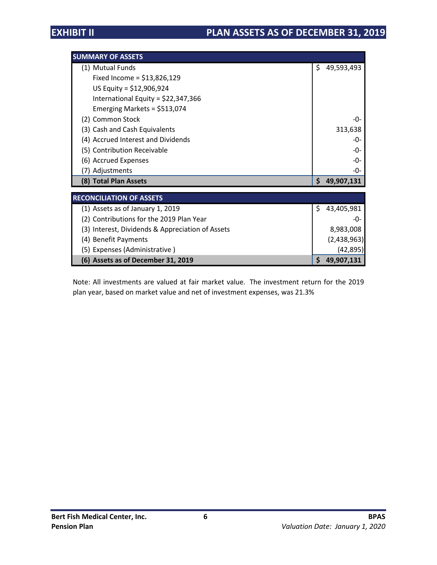| <b>SUMMARY OF ASSETS</b>                         |    |             |
|--------------------------------------------------|----|-------------|
| (1) Mutual Funds                                 | \$ | 49,593,493  |
| Fixed Income = $$13,826,129$                     |    |             |
| US Equity = $$12,906,924$                        |    |             |
| International Equity = $$22,347,366$             |    |             |
| Emerging Markets = $$513,074$                    |    |             |
| (2) Common Stock                                 |    | -በ-         |
| (3) Cash and Cash Equivalents                    |    | 313,638     |
| (4) Accrued Interest and Dividends               |    | -0-         |
| (5) Contribution Receivable                      |    | -0-         |
| (6) Accrued Expenses                             |    | -0-         |
| (7) Adjustments                                  |    | -0-         |
| (8) Total Plan Assets                            | S. | 49,907,131  |
| <b>RECONCILIATION OF ASSETS</b>                  |    |             |
| (1) Assets as of January 1, 2019                 | S. | 43,405,981  |
| (2) Contributions for the 2019 Plan Year         |    | -0-         |
| (3) Interest, Dividends & Appreciation of Assets |    | 8,983,008   |
| (4) Benefit Payments                             |    | (2,438,963) |
| (5) Expenses (Administrative)                    |    | (42, 895)   |
| (6) Assets as of December 31, 2019               | \$ | 49,907,131  |

Note: All investments are valued at fair market value. The investment return for the 2019 plan year, based on market value and net of investment expenses, was 21.3%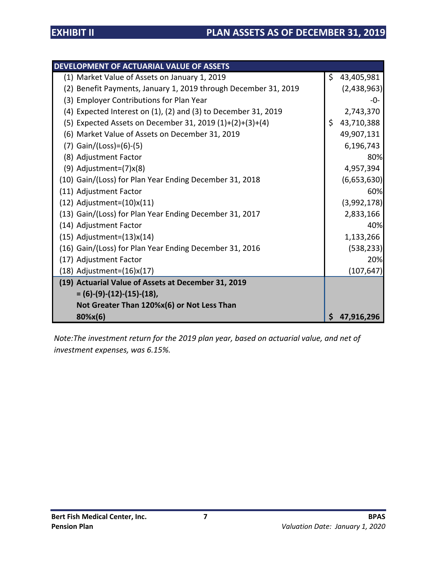| DEVELOPMENT OF ACTUARIAL VALUE OF ASSETS                                |   |              |
|-------------------------------------------------------------------------|---|--------------|
| (1) Market Value of Assets on January 1, 2019                           |   | \$43,405,981 |
| (2) Benefit Payments, January 1, 2019 through December 31, 2019         |   | (2,438,963)  |
| (3) Employer Contributions for Plan Year                                |   | -0-          |
| $(4)$ Expected Interest on $(1)$ , $(2)$ and $(3)$ to December 31, 2019 |   | 2,743,370    |
| (5) Expected Assets on December 31, 2019 $(1)+(2)+(3)+(4)$              |   | \$43,710,388 |
| (6) Market Value of Assets on December 31, 2019                         |   | 49,907,131   |
| $(7)$ Gain/(Loss)=(6)-(5)                                               |   | 6,196,743    |
| (8) Adjustment Factor                                                   |   | 80%          |
| $(9)$ Adjustment= $(7)x(8)$                                             |   | 4,957,394    |
| (10) Gain/(Loss) for Plan Year Ending December 31, 2018                 |   | (6,653,630)  |
| (11) Adjustment Factor                                                  |   | 60%          |
| $(12)$ Adjustment= $(10)x(11)$                                          |   | (3,992,178)  |
| (13) Gain/(Loss) for Plan Year Ending December 31, 2017                 |   | 2,833,166    |
| (14) Adjustment Factor                                                  |   | 40%          |
| $(15)$ Adjustment= $(13)x(14)$                                          |   | 1,133,266    |
| (16) Gain/(Loss) for Plan Year Ending December 31, 2016                 |   | (538, 233)   |
| (17) Adjustment Factor                                                  |   | 20%          |
| $(18)$ Adjustment= $(16)x(17)$                                          |   | (107, 647)   |
| (19) Actuarial Value of Assets at December 31, 2019                     |   |              |
| $= (6)-(9)-(12)-(15)-(18),$                                             |   |              |
| Not Greater Than 120%x(6) or Not Less Than                              |   |              |
| 80%x(6)                                                                 | Ś | 47,916,296   |

*Note:The investment return for the 2019 plan year, based on actuarial value, and net of investment expenses, was 6.15%.*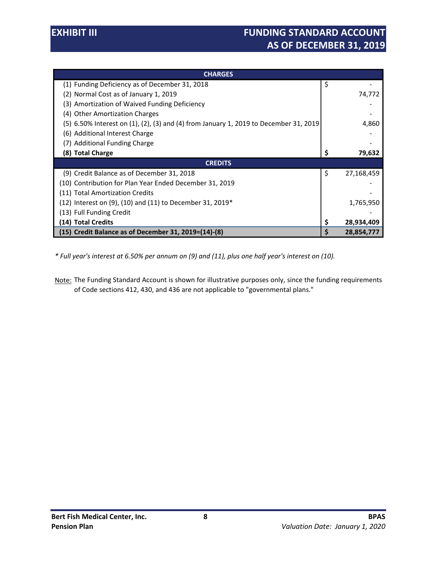| <b>CHARGES</b>                                                                        |     |            |
|---------------------------------------------------------------------------------------|-----|------------|
| (1) Funding Deficiency as of December 31, 2018                                        | \$  |            |
| (2) Normal Cost as of January 1, 2019                                                 |     | 74,772     |
| (3) Amortization of Waived Funding Deficiency                                         |     |            |
| (4) Other Amortization Charges                                                        |     |            |
| (5) 6.50% Interest on (1), (2), (3) and (4) from January 1, 2019 to December 31, 2019 |     | 4,860      |
| (6) Additional Interest Charge                                                        |     |            |
| (7) Additional Funding Charge                                                         |     |            |
| (8) Total Charge                                                                      | \$. | 79,632     |
| <b>CREDITS</b>                                                                        |     |            |
| (9) Credit Balance as of December 31, 2018                                            | \$  | 27,168,459 |
| (10) Contribution for Plan Year Ended December 31, 2019                               |     |            |
| (11) Total Amortization Credits                                                       |     |            |
| $(12)$ Interest on $(9)$ , $(10)$ and $(11)$ to December 31, 2019*                    |     | 1,765,950  |
| (13) Full Funding Credit                                                              |     |            |
| (14) Total Credits                                                                    | \$  | 28,934,409 |
| (15) Credit Balance as of December 31, 2019=(14)-(8)                                  | S   | 28,854,777 |

*\* Full year's interest at 6.50% per annum on (9) and (11), plus one half year's interest on (10).*

Note: The Funding Standard Account is shown for illustrative purposes only, since the funding requirements of Code sections 412, 430, and 436 are not applicable to "governmental plans."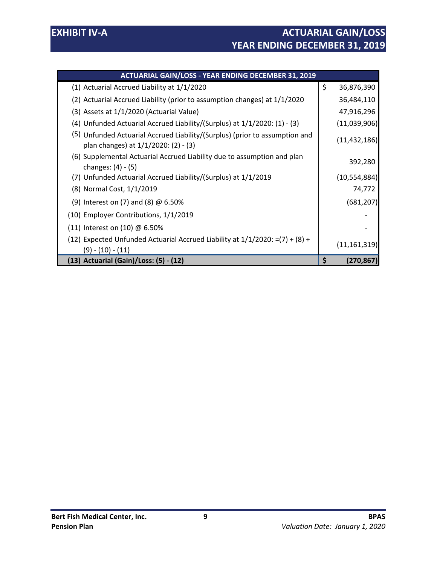| <b>ACTUARIAL GAIN/LOSS - YEAR ENDING DECEMBER 31, 2019</b>                                                          |    |                |
|---------------------------------------------------------------------------------------------------------------------|----|----------------|
| (1) Actuarial Accrued Liability at 1/1/2020                                                                         | \$ | 36,876,390     |
| (2) Actuarial Accrued Liability (prior to assumption changes) at 1/1/2020                                           |    | 36,484,110     |
| (3) Assets at 1/1/2020 (Actuarial Value)                                                                            |    | 47,916,296     |
| (4) Unfunded Actuarial Accrued Liability/(Surplus) at 1/1/2020: (1) - (3)                                           |    | (11,039,906)   |
| (5) Unfunded Actuarial Accrued Liability/(Surplus) (prior to assumption and<br>plan changes) at 1/1/2020: (2) - (3) |    | (11, 432, 186) |
| (6) Supplemental Actuarial Accrued Liability due to assumption and plan<br>changes: $(4) - (5)$                     |    | 392,280        |
| (7) Unfunded Actuarial Accrued Liability/(Surplus) at 1/1/2019                                                      |    | (10, 554, 884) |
| (8) Normal Cost, 1/1/2019                                                                                           |    | 74,772         |
| (9) Interest on (7) and (8) $\omega$ 6.50%                                                                          |    | (681, 207)     |
| (10) Employer Contributions, 1/1/2019                                                                               |    |                |
| (11) Interest on (10) @ 6.50%                                                                                       |    |                |
| (12) Expected Unfunded Actuarial Accrued Liability at $1/1/2020$ : =(7) + (8) +<br>(9) - (10) - (11)                |    | (11, 161, 319) |
| (13) Actuarial (Gain)/Loss: (5) - (12)                                                                              | S  | (270,867)      |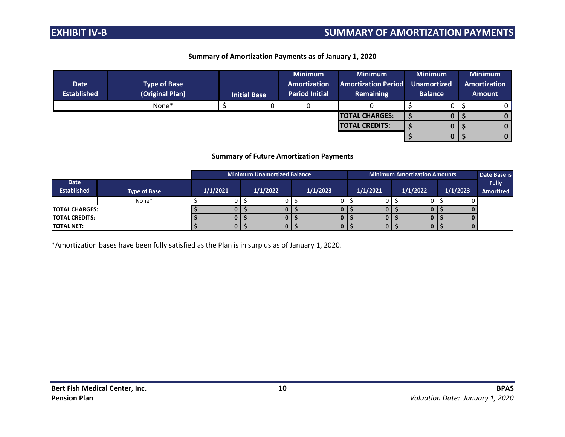## **EXHIBIT IV-B SUMMARY OF AMORTIZATION PAYMENTS**

#### **Summary of Amortization Payments as of January 1, 2020**

| <b>Date</b><br><b>Established</b> | <b>Type of Base</b><br>(Original Plan) | <b>Initial Base</b> | <b>Minimum</b><br>Amortization<br><b>Period Initial</b> | <b>Minimum</b><br><b>Amortization Period</b><br><b>Remaining</b> | <b>Minimum</b><br><b>Unamortized</b><br><b>Balance</b> | <b>Minimum</b><br><b>Amortization</b><br><b>Amount</b> |
|-----------------------------------|----------------------------------------|---------------------|---------------------------------------------------------|------------------------------------------------------------------|--------------------------------------------------------|--------------------------------------------------------|
|                                   | None*                                  |                     |                                                         |                                                                  |                                                        |                                                        |
|                                   |                                        |                     |                                                         | <b>TOTAL CHARGES:</b>                                            |                                                        |                                                        |
|                                   |                                        |                     |                                                         | <b>TOTAL CREDITS:</b>                                            |                                                        | 0                                                      |
|                                   |                                        |                     |                                                         |                                                                  |                                                        | 0                                                      |

#### **Summary of Future Amortization Payments**

|                        |                     |          | <b>Minimum Unamortized Balance</b><br><b>Minimum Amortization Amounts</b> |          |  |          |  |          |  |          | Date Base is |          |                  |
|------------------------|---------------------|----------|---------------------------------------------------------------------------|----------|--|----------|--|----------|--|----------|--------------|----------|------------------|
| Date                   |                     |          |                                                                           |          |  |          |  |          |  |          |              |          | <b>Fully</b>     |
| <b>Established</b>     | <b>Type of Base</b> | 1/1/2021 |                                                                           | 1/1/2022 |  | 1/1/2023 |  | 1/1/2021 |  | 1/1/2022 |              | 1/1/2023 | <b>Amortized</b> |
|                        | None*               |          |                                                                           |          |  |          |  |          |  |          |              |          |                  |
| <b>ITOTAL CHARGES:</b> |                     |          |                                                                           |          |  |          |  |          |  |          |              |          |                  |
| <b>TOTAL CREDITS:</b>  |                     |          |                                                                           |          |  |          |  |          |  |          |              |          |                  |
| <b>TOTAL NET:</b>      |                     |          |                                                                           |          |  |          |  |          |  |          |              |          |                  |

\*Amortization bases have been fully satisfied as the Plan is in surplus as of January 1, 2020.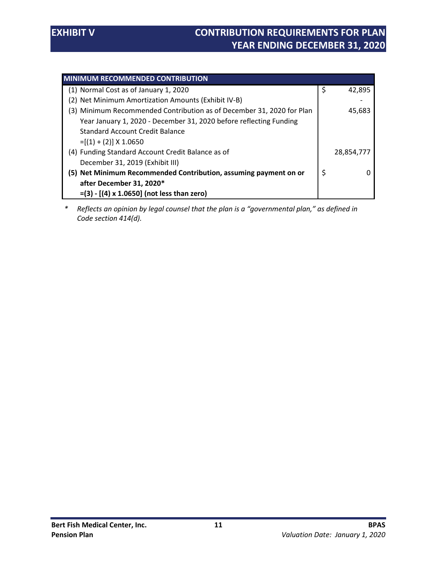| <b>MINIMUM RECOMMENDED CONTRIBUTION</b>                               |              |
|-----------------------------------------------------------------------|--------------|
| (1) Normal Cost as of January 1, 2020                                 | \$<br>42.895 |
| (2) Net Minimum Amortization Amounts (Exhibit IV-B)                   |              |
| (3) Minimum Recommended Contribution as of December 31, 2020 for Plan | 45,683       |
| Year January 1, 2020 - December 31, 2020 before reflecting Funding    |              |
| <b>Standard Account Credit Balance</b>                                |              |
| $=[(1) + (2)] \times 1.0650$                                          |              |
| (4) Funding Standard Account Credit Balance as of                     | 28,854,777   |
| December 31, 2019 (Exhibit III)                                       |              |
| (5) Net Minimum Recommended Contribution, assuming payment on or      | \$           |
| after December 31, 2020*                                              |              |
| $=(3) - [(4) \times 1.0650]$ (not less than zero)                     |              |

*\* Reflects an opinion by legal counsel that the plan is a "governmental plan," as defined in Code section 414(d).*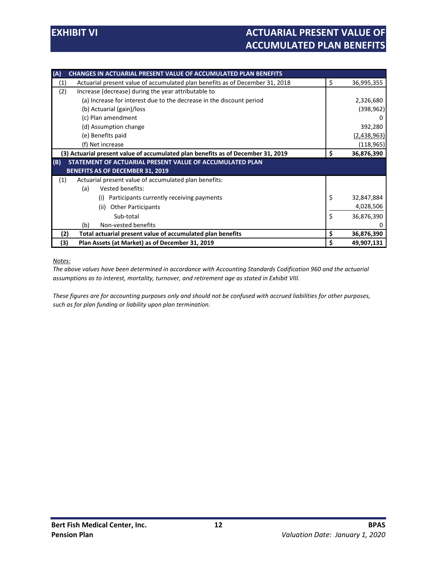| <b>CHANGES IN ACTUARIAL PRESENT VALUE OF ACCUMULATED PLAN BENEFITS</b><br>(A)       |                  |
|-------------------------------------------------------------------------------------|------------------|
| Actuarial present value of accumulated plan benefits as of December 31, 2018<br>(1) | \$<br>36,995,355 |
| (2)<br>Increase (decrease) during the year attributable to                          |                  |
| (a) Increase for interest due to the decrease in the discount period                | 2,326,680        |
| (b) Actuarial (gain)/loss                                                           | (398, 962)       |
| (c) Plan amendment                                                                  | O                |
| (d) Assumption change                                                               | 392,280          |
| (e) Benefits paid                                                                   | (2,438,963)      |
| (f) Net increase                                                                    | (118, 965)       |
| (3) Actuarial present value of accumulated plan benefits as of December 31, 2019    | \$<br>36,876,390 |
| (B)<br>STATEMENT OF ACTUARIAL PRESENT VALUE OF ACCUMULATED PLAN                     |                  |
| <b>BENEFITS AS OF DECEMBER 31, 2019</b>                                             |                  |
| Actuarial present value of accumulated plan benefits:<br>(1)                        |                  |
| Vested benefits:<br>(a)                                                             |                  |
| Participants currently receiving payments<br>(i)                                    | \$<br>32,847,884 |
| <b>Other Participants</b><br>(ii)                                                   | 4,028,506        |
| Sub-total                                                                           | \$<br>36,876,390 |
| Non-vested benefits<br>(b)                                                          |                  |
| Total actuarial present value of accumulated plan benefits<br>(2)                   | \$<br>36,876,390 |
| (3)<br>Plan Assets (at Market) as of December 31, 2019                              | \$<br>49,907,131 |

*Notes:*

*The above values have been determined in accordance with Accounting Standards Codification 960 and the actuarial assumptions as to interest, mortality, turnover, and retirement age as stated in Exhibit VIII.* 

*These figures are for accounting purposes only and should not be confused with accrued liabilities for other purposes, such as for plan funding or liability upon plan termination.*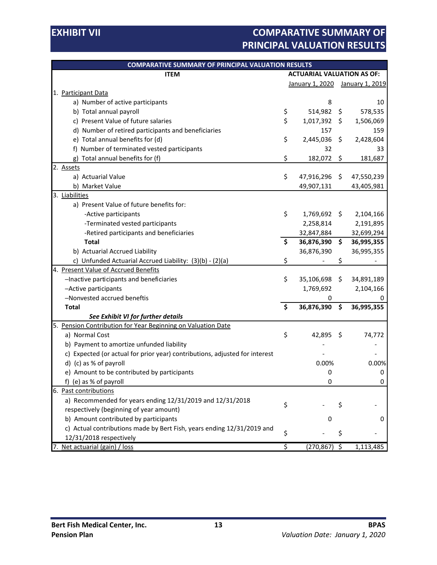## **EXHIBIT VII EXHIBIT VII COMPARATIVE SUMMARY OF PRINCIPAL VALUATION RESULTS**

| <b>COMPARATIVE SUMMARY OF PRINCIPAL VALUATION RESULTS</b>                   |                                   |                                 |         |            |
|-----------------------------------------------------------------------------|-----------------------------------|---------------------------------|---------|------------|
| <b>ITEM</b>                                                                 | <b>ACTUARIAL VALUATION AS OF:</b> |                                 |         |            |
|                                                                             |                                   | January 1, 2020 January 1, 2019 |         |            |
| 1. Participant Data                                                         |                                   |                                 |         |            |
| a) Number of active participants                                            |                                   | 8                               |         | 10         |
| b) Total annual payroll                                                     | \$                                | 514,982                         | \$      | 578,535    |
| c) Present Value of future salaries                                         | \$                                | 1,017,392                       | \$      | 1,506,069  |
| d) Number of retired participants and beneficiaries                         |                                   | 157                             |         | 159        |
| e) Total annual benefits for (d)                                            | \$                                | 2,445,036                       | \$      | 2,428,604  |
| f) Number of terminated vested participants                                 |                                   | 32                              |         | 33         |
| g) Total annual benefits for (f)                                            | \$                                | 182,072                         | \$      | 181,687    |
| 2. Assets                                                                   |                                   |                                 |         |            |
| a) Actuarial Value                                                          | \$                                | 47,916,296 \$                   |         | 47,550,239 |
| b) Market Value                                                             |                                   | 49,907,131                      |         | 43,405,981 |
| 3. Liabilities                                                              |                                   |                                 |         |            |
| a) Present Value of future benefits for:                                    |                                   |                                 |         |            |
| -Active participants                                                        | \$                                | 1,769,692                       | \$      | 2,104,166  |
| -Terminated vested participants                                             |                                   | 2,258,814                       |         | 2,191,895  |
| -Retired participants and beneficiaries                                     |                                   | 32,847,884                      |         | 32,699,294 |
| <b>Total</b>                                                                | \$                                | 36,876,390                      | \$      | 36,995,355 |
| b) Actuarial Accrued Liability                                              |                                   | 36,876,390                      |         | 36,995,355 |
| c) Unfunded Actuarial Accrued Liability: (3)(b) - (2)(a)                    | \$                                |                                 | \$      |            |
| 4. Present Value of Accrued Benefits                                        |                                   |                                 |         |            |
| -Inactive participants and beneficiaries                                    | \$                                | 35,106,698                      | \$      | 34,891,189 |
| -Active participants                                                        |                                   | 1,769,692                       |         | 2,104,166  |
| -Nonvested accrued beneftis                                                 |                                   | 0                               |         | 0          |
| <b>Total</b>                                                                | \$                                | 36,876,390                      | \$      | 36,995,355 |
| See Exhibit VI for further details                                          |                                   |                                 |         |            |
| Pension Contribution for Year Beginning on Valuation Date<br>5.             |                                   |                                 |         |            |
| a) Normal Cost                                                              | \$                                | 42,895                          | \$      | 74,772     |
| b) Payment to amortize unfunded liability                                   |                                   |                                 |         |            |
| c) Expected (or actual for prior year) contributions, adjusted for interest |                                   |                                 |         |            |
| d) (c) as % of payroll                                                      |                                   | 0.00%                           |         | 0.00%      |
| e) Amount to be contributed by participants                                 |                                   | 0                               |         | 0          |
| (e) as % of payroll<br>t)                                                   |                                   | 0                               |         | 0          |
| 6. Past contributions                                                       |                                   |                                 |         |            |
| a) Recommended for years ending 12/31/2019 and 12/31/2018                   | \$                                |                                 | \$      |            |
| respectively (beginning of year amount)                                     |                                   |                                 |         |            |
| b) Amount contributed by participants                                       |                                   | 0                               |         | 0          |
| c) Actual contributions made by Bert Fish, years ending 12/31/2019 and      | \$                                |                                 | \$      |            |
| 12/31/2018 respectively                                                     |                                   |                                 |         |            |
| Net actuarial (gain) / loss                                                 | $\overline{\xi}$                  | (270, 867)                      | $\zeta$ | 1,113,485  |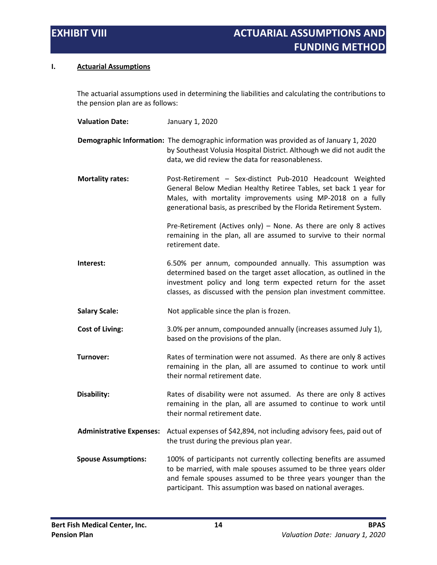#### **I. Actuarial Assumptions**

The actuarial assumptions used in determining the liabilities and calculating the contributions to the pension plan are as follows:

| <b>Valuation Date:</b>          | January 1, 2020                                                                                                                                                                                                                                                         |
|---------------------------------|-------------------------------------------------------------------------------------------------------------------------------------------------------------------------------------------------------------------------------------------------------------------------|
|                                 | Demographic Information: The demographic information was provided as of January 1, 2020<br>by Southeast Volusia Hospital District. Although we did not audit the<br>data, we did review the data for reasonableness.                                                    |
| <b>Mortality rates:</b>         | Post-Retirement - Sex-distinct Pub-2010 Headcount Weighted<br>General Below Median Healthy Retiree Tables, set back 1 year for<br>Males, with mortality improvements using MP-2018 on a fully<br>generational basis, as prescribed by the Florida Retirement System.    |
|                                 | Pre-Retirement (Actives only) – None. As there are only 8 actives<br>remaining in the plan, all are assumed to survive to their normal<br>retirement date.                                                                                                              |
| Interest:                       | 6.50% per annum, compounded annually. This assumption was<br>determined based on the target asset allocation, as outlined in the<br>investment policy and long term expected return for the asset<br>classes, as discussed with the pension plan investment committee.  |
| <b>Salary Scale:</b>            | Not applicable since the plan is frozen.                                                                                                                                                                                                                                |
| <b>Cost of Living:</b>          | 3.0% per annum, compounded annually (increases assumed July 1),<br>based on the provisions of the plan.                                                                                                                                                                 |
| Turnover:                       | Rates of termination were not assumed. As there are only 8 actives<br>remaining in the plan, all are assumed to continue to work until<br>their normal retirement date.                                                                                                 |
| Disability:                     | Rates of disability were not assumed. As there are only 8 actives<br>remaining in the plan, all are assumed to continue to work until<br>their normal retirement date.                                                                                                  |
| <b>Administrative Expenses:</b> | Actual expenses of \$42,894, not including advisory fees, paid out of<br>the trust during the previous plan year.                                                                                                                                                       |
| <b>Spouse Assumptions:</b>      | 100% of participants not currently collecting benefits are assumed<br>to be married, with male spouses assumed to be three years older<br>and female spouses assumed to be three years younger than the<br>participant. This assumption was based on national averages. |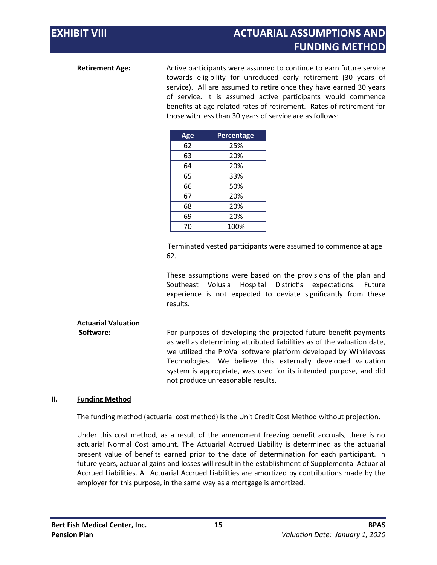## **EXHIBIT VIII** ACTUARIAL ASSUMPTIONS AND **FUNDING METHOD**

**Retirement Age:** Active participants were assumed to continue to earn future service towards eligibility for unreduced early retirement (30 years of service). All are assumed to retire once they have earned 30 years of service. It is assumed active participants would commence benefits at age related rates of retirement. Rates of retirement for those with less than 30 years of service are as follows:

| Age | <b>Percentage</b> |
|-----|-------------------|
| 62  | 25%               |
| 63  | 20%               |
| 64  | 20%               |
| 65  | 33%               |
| 66  | 50%               |
| 67  | 20%               |
| 68  | 20%               |
| 69  | 20%               |
| 70  | 100%              |

Terminated vested participants were assumed to commence at age 62.

These assumptions were based on the provisions of the plan and Southeast Volusia Hospital District's expectations. Future experience is not expected to deviate significantly from these results.

## **Actuarial Valuation**

**Software: For purposes of developing the projected future benefit payments** as well as determining attributed liabilities as of the valuation date, we utilized the ProVal software platform developed by Winklevoss Technologies. We believe this externally developed valuation system is appropriate, was used for its intended purpose, and did not produce unreasonable results.

#### **II. Funding Method**

The funding method (actuarial cost method) is the Unit Credit Cost Method without projection.

Under this cost method, as a result of the amendment freezing benefit accruals, there is no actuarial Normal Cost amount. The Actuarial Accrued Liability is determined as the actuarial present value of benefits earned prior to the date of determination for each participant. In future years, actuarial gains and losses will result in the establishment of Supplemental Actuarial Accrued Liabilities. All Actuarial Accrued Liabilities are amortized by contributions made by the employer for this purpose, in the same way as a mortgage is amortized.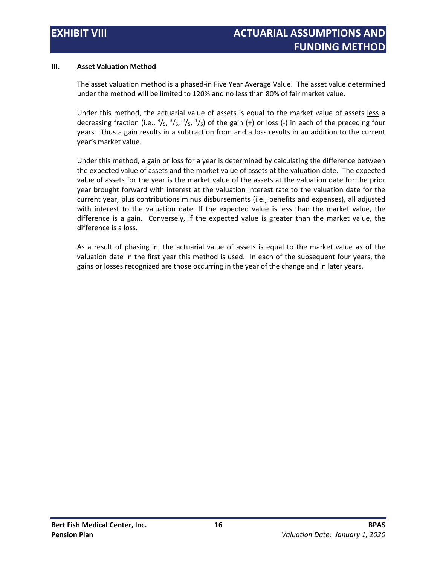#### **III. Asset Valuation Method**

The asset valuation method is a phased-in Five Year Average Value. The asset value determined under the method will be limited to 120% and no less than 80% of fair market value.

Under this method, the actuarial value of assets is equal to the market value of assets less a decreasing fraction (i.e.,  $\frac{4}{5}$ ,  $\frac{3}{5}$ ,  $\frac{2}{5}$ ,  $\frac{1}{5}$ ) of the gain (+) or loss (-) in each of the preceding four years. Thus a gain results in a subtraction from and a loss results in an addition to the current year's market value.

Under this method, a gain or loss for a year is determined by calculating the difference between the expected value of assets and the market value of assets at the valuation date. The expected value of assets for the year is the market value of the assets at the valuation date for the prior year brought forward with interest at the valuation interest rate to the valuation date for the current year, plus contributions minus disbursements (i.e., benefits and expenses), all adjusted with interest to the valuation date. If the expected value is less than the market value, the difference is a gain. Conversely, if the expected value is greater than the market value, the difference is a loss.

As a result of phasing in, the actuarial value of assets is equal to the market value as of the valuation date in the first year this method is used. In each of the subsequent four years, the gains or losses recognized are those occurring in the year of the change and in later years.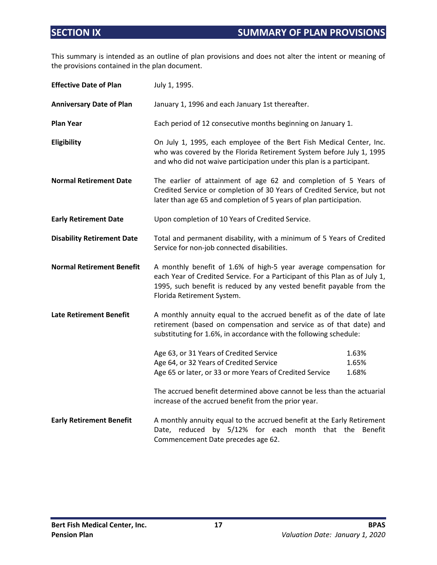This summary is intended as an outline of plan provisions and does not alter the intent or meaning of the provisions contained in the plan document.

| <b>Effective Date of Plan</b>     | July 1, 1995.                                                                                                                                                                                                                                          |                         |  |  |  |
|-----------------------------------|--------------------------------------------------------------------------------------------------------------------------------------------------------------------------------------------------------------------------------------------------------|-------------------------|--|--|--|
| <b>Anniversary Date of Plan</b>   | January 1, 1996 and each January 1st thereafter.                                                                                                                                                                                                       |                         |  |  |  |
| <b>Plan Year</b>                  | Each period of 12 consecutive months beginning on January 1.                                                                                                                                                                                           |                         |  |  |  |
| Eligibility                       | On July 1, 1995, each employee of the Bert Fish Medical Center, Inc.<br>who was covered by the Florida Retirement System before July 1, 1995<br>and who did not waive participation under this plan is a participant.                                  |                         |  |  |  |
| <b>Normal Retirement Date</b>     | The earlier of attainment of age 62 and completion of 5 Years of<br>Credited Service or completion of 30 Years of Credited Service, but not<br>later than age 65 and completion of 5 years of plan participation.                                      |                         |  |  |  |
| <b>Early Retirement Date</b>      | Upon completion of 10 Years of Credited Service.                                                                                                                                                                                                       |                         |  |  |  |
| <b>Disability Retirement Date</b> | Total and permanent disability, with a minimum of 5 Years of Credited<br>Service for non-job connected disabilities.                                                                                                                                   |                         |  |  |  |
| <b>Normal Retirement Benefit</b>  | A monthly benefit of 1.6% of high-5 year average compensation for<br>each Year of Credited Service. For a Participant of this Plan as of July 1,<br>1995, such benefit is reduced by any vested benefit payable from the<br>Florida Retirement System. |                         |  |  |  |
| <b>Late Retirement Benefit</b>    | A monthly annuity equal to the accrued benefit as of the date of late<br>retirement (based on compensation and service as of that date) and<br>substituting for 1.6%, in accordance with the following schedule:                                       |                         |  |  |  |
|                                   | Age 63, or 31 Years of Credited Service<br>Age 64, or 32 Years of Credited Service<br>Age 65 or later, or 33 or more Years of Credited Service<br>The accrued benefit determined above cannot be less than the actuarial                               | 1.63%<br>1.65%<br>1.68% |  |  |  |
|                                   | increase of the accrued benefit from the prior year.                                                                                                                                                                                                   |                         |  |  |  |
| <b>Early Retirement Benefit</b>   | A monthly annuity equal to the accrued benefit at the Early Retirement<br>Date, reduced by 5/12% for each month that the Benefit<br>Commencement Date precedes age 62.                                                                                 |                         |  |  |  |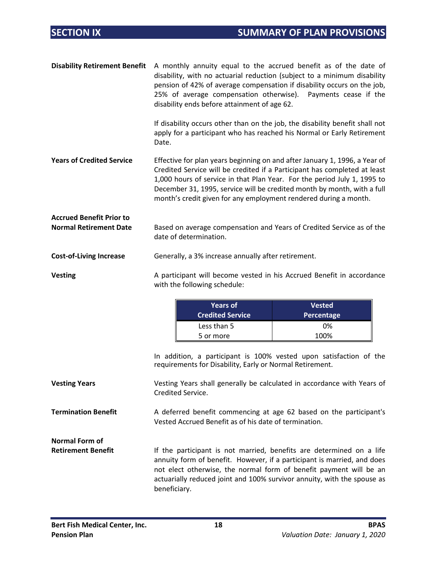| <b>Disability Retirement Benefit</b>                             | A monthly annuity equal to the accrued benefit as of the date of<br>disability, with no actuarial reduction (subject to a minimum disability<br>pension of 42% of average compensation if disability occurs on the job,<br>25% of average compensation otherwise). Payments cease if the<br>disability ends before attainment of age 62.                                           |
|------------------------------------------------------------------|------------------------------------------------------------------------------------------------------------------------------------------------------------------------------------------------------------------------------------------------------------------------------------------------------------------------------------------------------------------------------------|
|                                                                  | If disability occurs other than on the job, the disability benefit shall not<br>apply for a participant who has reached his Normal or Early Retirement<br>Date.                                                                                                                                                                                                                    |
| <b>Years of Credited Service</b>                                 | Effective for plan years beginning on and after January 1, 1996, a Year of<br>Credited Service will be credited if a Participant has completed at least<br>1,000 hours of service in that Plan Year. For the period July 1, 1995 to<br>December 31, 1995, service will be credited month by month, with a full<br>month's credit given for any employment rendered during a month. |
| <b>Accrued Benefit Prior to</b><br><b>Normal Retirement Date</b> | Based on average compensation and Years of Credited Service as of the<br>date of determination.                                                                                                                                                                                                                                                                                    |
| <b>Cost-of-Living Increase</b>                                   | Generally, a 3% increase annually after retirement.                                                                                                                                                                                                                                                                                                                                |

**Vesting** A participant will become vested in his Accrued Benefit in accordance with the following schedule:

| <b>Years of</b><br><b>Credited Service</b> | <b>Vested</b><br>Percentage |
|--------------------------------------------|-----------------------------|
| Less than 5                                | 0%                          |
| 5 or more                                  | 100%                        |

In addition, a participant is 100% vested upon satisfaction of the requirements for Disability, Early or Normal Retirement.

**Vesting Years** Vesting Years shall generally be calculated in accordance with Years of Credited Service.

**Termination Benefit** A deferred benefit commencing at age 62 based on the participant's Vested Accrued Benefit as of his date of termination.

**Normal Form of** 

Retirement Benefit **If the participant is not married, benefits are determined on a life** annuity form of benefit. However, if a participant is married, and does not elect otherwise, the normal form of benefit payment will be an actuarially reduced joint and 100% survivor annuity, with the spouse as beneficiary.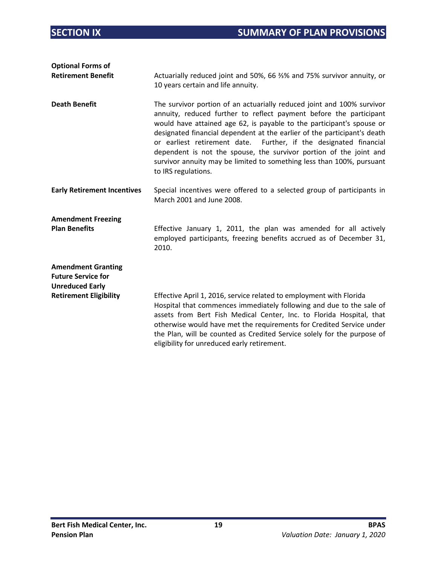| <b>Optional Forms of</b><br><b>Retirement Benefit</b>                            | Actuarially reduced joint and 50%, 66 %% and 75% survivor annuity, or<br>10 years certain and life annuity.                                                                                                                                                                                                                                                                                                                                                                                                                                  |
|----------------------------------------------------------------------------------|----------------------------------------------------------------------------------------------------------------------------------------------------------------------------------------------------------------------------------------------------------------------------------------------------------------------------------------------------------------------------------------------------------------------------------------------------------------------------------------------------------------------------------------------|
| <b>Death Benefit</b>                                                             | The survivor portion of an actuarially reduced joint and 100% survivor<br>annuity, reduced further to reflect payment before the participant<br>would have attained age 62, is payable to the participant's spouse or<br>designated financial dependent at the earlier of the participant's death<br>or earliest retirement date. Further, if the designated financial<br>dependent is not the spouse, the survivor portion of the joint and<br>survivor annuity may be limited to something less than 100%, pursuant<br>to IRS regulations. |
| <b>Early Retirement Incentives</b>                                               | Special incentives were offered to a selected group of participants in<br>March 2001 and June 2008.                                                                                                                                                                                                                                                                                                                                                                                                                                          |
| <b>Amendment Freezing</b><br><b>Plan Benefits</b>                                | Effective January 1, 2011, the plan was amended for all actively<br>employed participants, freezing benefits accrued as of December 31,<br>2010.                                                                                                                                                                                                                                                                                                                                                                                             |
| <b>Amendment Granting</b><br><b>Future Service for</b><br><b>Unreduced Early</b> |                                                                                                                                                                                                                                                                                                                                                                                                                                                                                                                                              |
| <b>Retirement Eligibility</b>                                                    | Effective April 1, 2016, service related to employment with Florida<br>Hospital that commences immediately following and due to the sale of<br>assets from Bert Fish Medical Center, Inc. to Florida Hospital, that<br>otherwise would have met the requirements for Credited Service under<br>the Plan, will be counted as Credited Service solely for the purpose of<br>eligibility for unreduced early retirement.                                                                                                                        |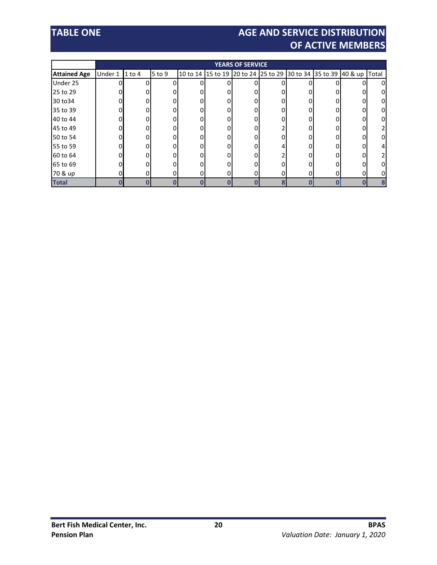# **TABLE ONE AGE AND SERVICE DISTRIBUTION OF ACTIVE MEMBERS**

|                     | <b>YEARS OF SERVICE</b> |          |            |  |  |  |                                                               |   |          |       |
|---------------------|-------------------------|----------|------------|--|--|--|---------------------------------------------------------------|---|----------|-------|
| <b>Attained Age</b> | Under 1                 | $1$ to 4 | $5$ to $9$ |  |  |  | 10 to 14 15 to 19 20 to 24 25 to 29 30 to 34 35 to 39 40 & up |   |          | Total |
| Under 25            |                         |          |            |  |  |  |                                                               |   |          | ი     |
| 25 to 29            |                         |          |            |  |  |  |                                                               |   |          |       |
| 30 to 34            |                         |          |            |  |  |  |                                                               |   |          |       |
| 35 to 39            |                         |          |            |  |  |  |                                                               |   |          |       |
| 40 to 44            |                         |          |            |  |  |  |                                                               |   |          |       |
| 45 to 49            |                         |          |            |  |  |  |                                                               |   |          |       |
| 50 to 54            |                         |          |            |  |  |  |                                                               |   |          |       |
| 55 to 59            |                         |          |            |  |  |  |                                                               |   |          |       |
| 60 to 64            |                         |          |            |  |  |  |                                                               |   |          |       |
| 65 to 69            |                         |          |            |  |  |  |                                                               |   |          |       |
| 70 & up             |                         |          |            |  |  |  |                                                               | 0 | $\Omega$ |       |
| <b>Total</b>        |                         |          |            |  |  |  |                                                               |   |          | 8     |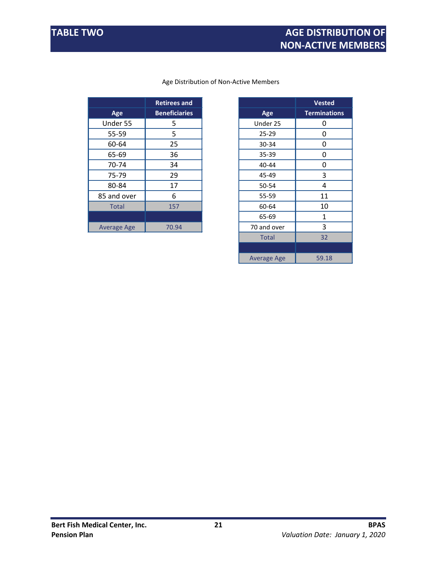|                    | <b>Retirees and</b>  |             |  |
|--------------------|----------------------|-------------|--|
| Age                | <b>Beneficiaries</b> | Age         |  |
| Under 55           | 5                    | Under 25    |  |
| 55-59              | 5                    | $25 - 29$   |  |
| 60-64              | 25                   | $30 - 34$   |  |
| 65-69              | 36                   | 35-39       |  |
| 70-74              | 34                   | $40 - 44$   |  |
| 75-79              | 29                   | 45-49       |  |
| 80-84              | 17                   | 50-54       |  |
| 85 and over        | 6                    | 55-59       |  |
| <b>Total</b>       | 157                  | 60-64       |  |
|                    |                      | 65-69       |  |
| <b>Average Age</b> | 70.94                | 70 and over |  |
|                    |                      |             |  |

#### Age Distribution of Non-Active Members

|              | <b>Retirees and</b>  |                    | <b>Vested</b>       |
|--------------|----------------------|--------------------|---------------------|
| Age          | <b>Beneficiaries</b> | Age                | <b>Terminations</b> |
| der 55       | 5                    | Under 25           | 0                   |
| $5 - 59$     | 5                    | $25 - 29$          | 0                   |
| $0 - 64$     | 25                   | 30-34              | 0                   |
| $5 - 69$     | 36                   | 35-39              | 0                   |
| $0 - 74$     | 34                   | 40-44              | 0                   |
| $5 - 79$     | 29                   | 45-49              | 3                   |
| $0 - 84$     | 17                   | 50-54              | 4                   |
| nd over      | 6                    | 55-59              | 11                  |
| <b>Fotal</b> | 157                  | 60-64              | 10                  |
|              |                      | 65-69              | 1                   |
| age Age      | 70.94                | 70 and over        | 3                   |
|              |                      | <b>Total</b>       | 32                  |
|              |                      |                    |                     |
|              |                      | <b>Average Age</b> | 59.18               |